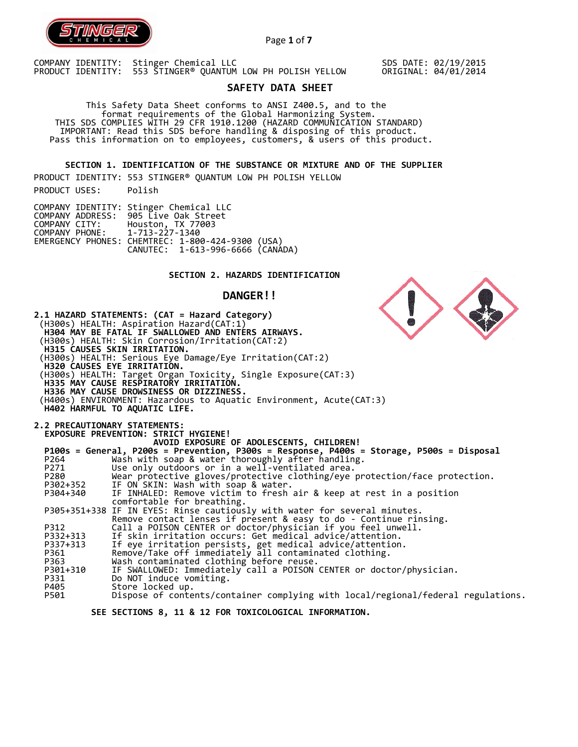

Page **1** of **7**

COMPANY IDENTITY: Stinger Chemical LLC PRODUCT IDENTITY: 553 STINGER® QUANTUM LOW PH POLISH YELLOW SDS DATE: 02/19/2015 ORIGINAL: 04/01/2014

# **SAFETY DATA SHEET**

 This Safety Data Sheet conforms to ANSI Z400.5, and to the format requirements of the Global Harmonizing System. THIS SDS COMPLIES WITH 29 CFR 1910.1200 (HAZARD COMMUNICATION STANDARD) IMPORTANT: Read this SDS before handling & disposing of this product. Pass this information on to employees, customers, & users of this product.

**SECTION 1. IDENTIFICATION OF THE SUBSTANCE OR MIXTURE AND OF THE SUPPLIER** 

PRODUCT IDENTITY: 553 STINGER® QUANTUM LOW PH POLISH YELLOW PRODUCT USES: Polish

|                               | COMPANY IDENTITY: Stinger Chemical LLC           |  |
|-------------------------------|--------------------------------------------------|--|
|                               | COMPANY ADDRESS: 905 Live Oak Street             |  |
| COMPANY CITY:                 | Houston, TX 77003                                |  |
| COMPANY PHONE: 1-713-227-1340 |                                                  |  |
|                               | EMERGENCY PHONES: CHEMTREC: 1-800-424-9300 (USA) |  |
|                               | CANUTEC: 1-613-996-6666 (CANADA)                 |  |

# **SECTION 2. HAZARDS IDENTIFICATION**

# **DANGER!!**

|          | 2.1 HAZARD STATEMENTS: (CAT = Hazard Category)<br>(H300s) HEALTH: Aspiration Hazard(CAT:1)<br>H304 MAY BE FATAL IF SWALLOWED AND ENTERS AIRWAYS.<br>(H300s) HEALTH: Skin Corrosion/Irritation(CAT:2)<br><b>H315 CAUSES SKIN IRRITATION.</b><br>(H300s) HEALTH: Serious Eye Damage/Eye Irritation(CAT:2)<br>H320 CAUSES EYE IRRITATIÓN.<br>(H300s) HEALTH: Target Organ Toxicity, Single Exposure(CAT:3)<br>H335 MAY CAUSE RESPIRATORY IRRITATION.<br>H336 MAY CAUSE DROWSINESS OR DIZZINESS.<br>(H400s) ENVIRONMENT: Hazardous to Aquatic Environment, Acute(CAT:3)<br>H402 HARMFUL TO AQUATIC LIFE. |
|----------|------------------------------------------------------------------------------------------------------------------------------------------------------------------------------------------------------------------------------------------------------------------------------------------------------------------------------------------------------------------------------------------------------------------------------------------------------------------------------------------------------------------------------------------------------------------------------------------------------|
|          | <b>2.2 PRECAUTIONARY STATEMENTS:</b>                                                                                                                                                                                                                                                                                                                                                                                                                                                                                                                                                                 |
|          | EXPOSURE PREVENTION: STRICT HYGIENE!<br>AVOID EXPOSURE OF ADOLESCENTS, CHILDREN!                                                                                                                                                                                                                                                                                                                                                                                                                                                                                                                     |
|          | P100s = General, P200s = Prevention, P300s = Response, P400s = Storage, P500s = Disposal                                                                                                                                                                                                                                                                                                                                                                                                                                                                                                             |
| P264     | Wash with soap & water thoroughly after handling.                                                                                                                                                                                                                                                                                                                                                                                                                                                                                                                                                    |
| P271     | Use only outdoors or in a well-ventilated area.                                                                                                                                                                                                                                                                                                                                                                                                                                                                                                                                                      |
| P280     | Wear protective gloves/protective clothing/eye protection/face protection.                                                                                                                                                                                                                                                                                                                                                                                                                                                                                                                           |
| P302+352 | IF ON SKIN: Wash with soap & water.                                                                                                                                                                                                                                                                                                                                                                                                                                                                                                                                                                  |
| P304+340 | IF INHALED: Remove victim to fresh air & keep at rest in a position                                                                                                                                                                                                                                                                                                                                                                                                                                                                                                                                  |
|          | comfortable for breathing.                                                                                                                                                                                                                                                                                                                                                                                                                                                                                                                                                                           |
|          | P305+351+338 IF IN EYES: Rinse cautiously with water for several minutes.                                                                                                                                                                                                                                                                                                                                                                                                                                                                                                                            |
| P312     | Remove contact lenses if present & easy to do - Continue rinsing.<br>Call a POISON CENTER or doctor/physician if you feel unwell.                                                                                                                                                                                                                                                                                                                                                                                                                                                                    |
| P332+313 | If skin irritation occurs: Get medical advice/attention.                                                                                                                                                                                                                                                                                                                                                                                                                                                                                                                                             |
| P337+313 | If eye irritation persists, get medical advice/attention.                                                                                                                                                                                                                                                                                                                                                                                                                                                                                                                                            |
| P361     | Remove/Take off immediately all contaminated clothing.                                                                                                                                                                                                                                                                                                                                                                                                                                                                                                                                               |
| P363     | Wash contaminated clothing before reuse.                                                                                                                                                                                                                                                                                                                                                                                                                                                                                                                                                             |
| P301+310 | IF SWALLOWED: Immediately call a POISON CENTER or doctor/physician.                                                                                                                                                                                                                                                                                                                                                                                                                                                                                                                                  |
| P331     | Do NOT induce vomiting.                                                                                                                                                                                                                                                                                                                                                                                                                                                                                                                                                                              |
| P405     | Store locked up.                                                                                                                                                                                                                                                                                                                                                                                                                                                                                                                                                                                     |
| P501     | Dispose of contents/container complying with local/regional/federal regulations.                                                                                                                                                                                                                                                                                                                                                                                                                                                                                                                     |
|          |                                                                                                                                                                                                                                                                                                                                                                                                                                                                                                                                                                                                      |

N

 **SEE SECTIONS 8, 11 & 12 FOR TOXICOLOGICAL INFORMATION.**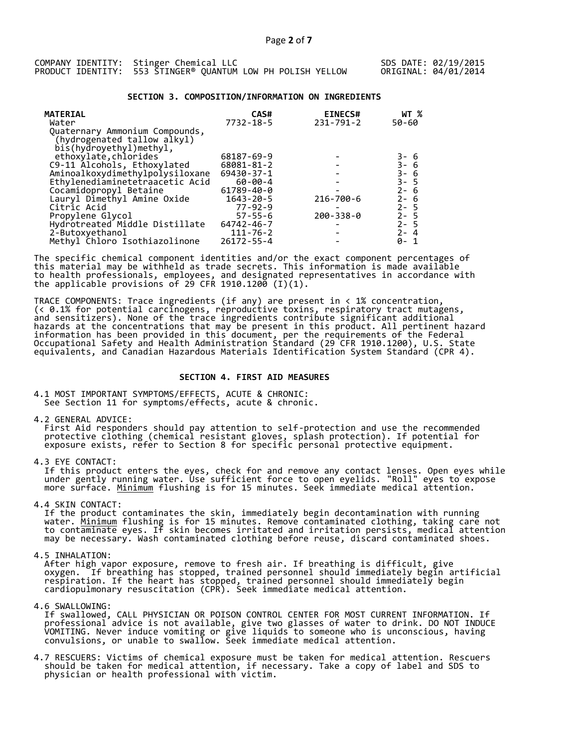| COMPANY IDENTITY: Stinger Chemical LLC                      |  |  |  |  |
|-------------------------------------------------------------|--|--|--|--|
| PRODUCT IDENTITY: 553 STINGER® QUANTUM LOW PH POLISH YELLOW |  |  |  |  |

#### **SECTION 3. COMPOSITION/INFORMATION ON INGREDIENTS**

| <b>MATERIAL</b><br>Water                                                                 | CAS#<br>$7732 - 18 - 5$ | <b>EINECS#</b><br>$231 - 791 - 2$ | WT %<br>50-60                |
|------------------------------------------------------------------------------------------|-------------------------|-----------------------------------|------------------------------|
| Quaternary Ammonium Compounds,<br>(hydrogenated tallow alkyl)<br>bis(hydroyethyl)methyl, |                         |                                   |                              |
| ethoxylate, chlorides                                                                    | 68187-69-9              |                                   |                              |
| C9-11 Alcohols, Ethoxylated                                                              | 68081-81-2              |                                   | 3- 6<br>3- 6<br>3- 6<br>3- 5 |
| Aminoalkoxydimethylpolysiloxane                                                          | $69430 - 37 - 1$        |                                   |                              |
| Ethylenediaminetetraacetic Acid                                                          | $60 - 00 - 4$           |                                   |                              |
| Cocamidopropyl Betaine                                                                   | 61789-40-0              |                                   | $2 - 6$                      |
| Lauryl Dimethyl Amine Oxide                                                              | $1643 - 20 - 5$         | 216-700-6                         | $2 - 6$                      |
| Citric Acid                                                                              | $77 - 92 - 9$           |                                   | $2 - 5$                      |
| Propylene Glycol                                                                         | $57 - 55 - 6$           | $200 - 338 - 0$                   | $2 - 5$                      |
| Hydrotreated Middle Distillate                                                           | 64742-46-7              |                                   | $2 - 5$                      |
| 2-Butoxyethanol                                                                          | $111 - 76 - 2$          |                                   | $2 - 4$                      |
| Methyl Chloro Isothiazolinone                                                            | $26172 - 55 - 4$        |                                   | 0- 1                         |

The specific chemical component identities and/or the exact component percentages of this material may be withheld as trade secrets. This information is made available to health professionals, employees, and designated representatives in accordance with the applicable provisions of 29 CFR 1910.1200̄ (I)(1).  $\overline{\phantom{a}}$ 

TRACE COMPONENTS: Trace ingredients (if any) are present in < 1% concentration, (< 0.1% for potential carcinogens, reproductive toxins, respiratory tract mutagens, and sensitizers). None of the trace ingredients contribute significant additional hazards at the concentrations that may be present in this product. All pertinent hazard information has been provided in this document, per the requirements of the Federal Occupational Safety and Health Administration Standard (29 CFR 1910.1200), U.S. State equivalents, and Canadian Hazardous Materials Identification System Standard (CPR 4).

#### **SECTION 4. FIRST AID MEASURES**

4.1 MOST IMPORTANT SYMPTOMS/EFFECTS, ACUTE & CHRONIC: See Section 11 for symptoms/effects, acute & chronic.

4.2 GENERAL ADVICE:

 First Aid responders should pay attention to self-protection and use the recommended protective clothing (chemical resistant gloves, splash protection). If potential for exposure exists, refer to Section 8 for specific personal protective equipment.

4.3 EYE CONTACT:

 If this product enters the eyes, check for and remove any contact lenses. Open eyes while under gently running water. Use sufficient force to open eyelids. "Roll" eyes to expose more surface. <u>Minimum</u> flushing is for 15 minutes. Seek immediate medical attention.

4.4 SKIN CONTACT:

 If the product contaminates the skin, immediately begin decontamination with running water. <u>Minimum</u> flushing is for 15 minutes. Remove contaminated clothing, taking care not to contaminate eyes. If skin becomes irritated and irritation persists, medical attention may be necessary. Wash contaminated clothing before reuse, discard contaminated shoes.

4.5 INHALATION:

 After high vapor exposure, remove to fresh air. If breathing is difficult, give oxygen. If breathing has stopped, trained personnel should immediately begin artificial respiration. If the heart has stopped, trained personnel should immediately begin cardiopulmonary resuscitation (CPR). Seek immediate medical attention.

4.6 SWALLOWING:

 If swallowed, CALL PHYSICIAN OR POISON CONTROL CENTER FOR MOST CURRENT INFORMATION. If professional advice is not available, give two glasses of water to drink. DO NOT INDUCE VOMITING. Never induce vomiting or give liquids to someone who is unconscious, having convulsions, or unable to swallow. Seek immediate medical attention.

4.7 RESCUERS: Victims of chemical exposure must be taken for medical attention. Rescuers should be taken for medical attention, if necessary. Take a copy of label and SDS to physician or health professional with victim.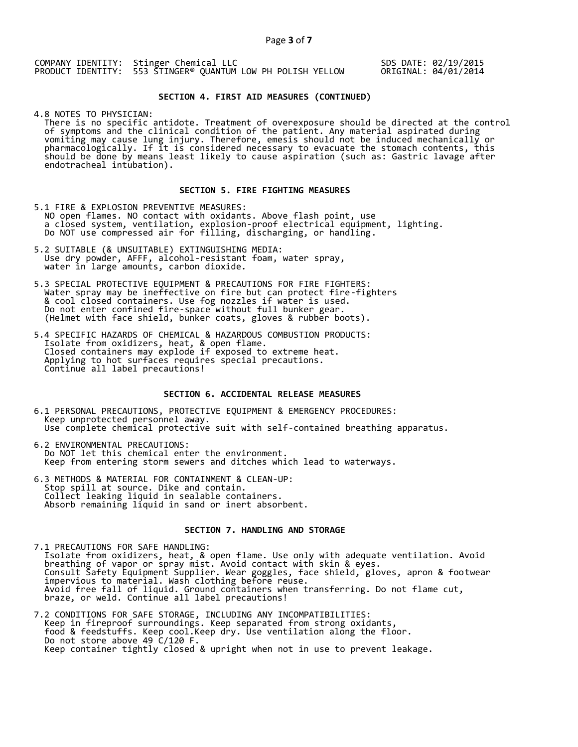COMPANY IDENTITY: Stinger Chemical LLC PRODUCT IDENTITY: 553 STINGER® QUANTUM LOW PH POLISH YELLOW

SDS DATE: 02/19/2015 ORIGINAL: 04/01/2014

# **SECTION 4. FIRST AID MEASURES (CONTINUED)**

4.8 NOTES TO PHYSICIAN:

 There is no specific antidote. Treatment of overexposure should be directed at the control of symptoms and the clinical condition of the patient. Any material aspirated during vomiting may cause lung injury. Therefore, emesis should not be induced mechanically or pharmacologically. If it is considered necessary to evacuate the stomach contents, this should be done by means least likely to cause aspiration (such as: Gastric lavage after endotracheal intubation).

### **SECTION 5. FIRE FIGHTING MEASURES**

5.1 FIRE & EXPLOSION PREVENTIVE MEASURES: NO open flames. NO contact with oxidants. Above flash point, use a closed system, ventilation, explosion-proof electrical equipment, lighting. Do NOT use compressed air for filling, discharging, or handling.

- 5.2 SUITABLE (& UNSUITABLE) EXTINGUISHING MEDIA: Use dry powder, AFFF, alcohol-resistant foam, water spray, water in large amounts, carbon dioxide.
- 5.3 SPECIAL PROTECTIVE EQUIPMENT & PRECAUTIONS FOR FIRE FIGHTERS: Water spray may be ineffective on fire but can protect fire-fighters & cool closed containers. Use fog nozzles if water is used. Do not enter confined fire-space without full bunker gear. (Helmet with face shield, bunker coats, gloves & rubber boots).
- 5.4 SPECIFIC HAZARDS OF CHEMICAL & HAZARDOUS COMBUSTION PRODUCTS: Isolate from oxidizers, heat, & open flame. Closed containers may explode if exposed to extreme heat. Applying to hot surfaces requires special precautions. Continue all label precautions!

### **SECTION 6. ACCIDENTAL RELEASE MEASURES**

- 6.1 PERSONAL PRECAUTIONS, PROTECTIVE EQUIPMENT & EMERGENCY PROCEDURES: Keep unprotected personnel away. Use complete chemical protective suit with self-contained breathing apparatus.
- 6.2 ENVIRONMENTAL PRECAUTIONS: Do NOT let this chemical enter the environment. Keep from entering storm sewers and ditches which lead to waterways.
- 6.3 METHODS & MATERIAL FOR CONTAINMENT & CLEAN-UP: Stop spill at source. Dike and contain. Collect leaking liquid in sealable containers. Absorb remaining liquid in sand or inert absorbent.

#### **SECTION 7. HANDLING AND STORAGE**

7.1 PRECAUTIONS FOR SAFE HANDLING: Isolate from oxidizers, heat, & open flame. Use only with adequate ventilation. Avoid breathing of vapor or spray mist. Avoid contact with skin & eyes. Consult Safety Equipment Supplier. Wear goggles, face shield, gloves, apron & footwear impervious to material. Wash clothing before reuse. Avoid free fall of liquid. Ground containers when transferring. Do not flame cut, braze, or weld. Continue all label precautions!

7.2 CONDITIONS FOR SAFE STORAGE, INCLUDING ANY INCOMPATIBILITIES: Keep in fireproof surroundings. Keep separated from strong oxidants, food & feedstuffs. Keep cool.Keep dry. Use ventilation along the floor. Do not store above 49 C/120 F. Keep container tightly closed & upright when not in use to prevent leakage.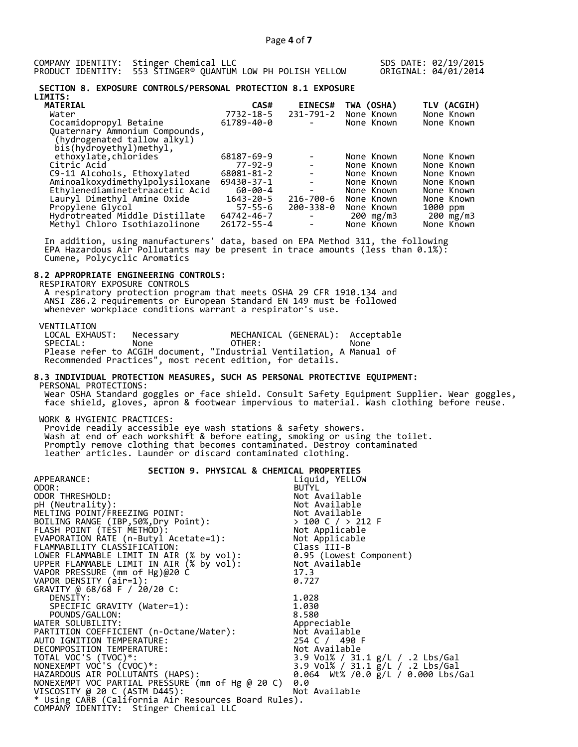COMPANY IDENTITY: Stinger Chemical LLC PRODUCT IDENTITY: 553 STINGER® QUANTUM LOW PH POLISH YELLOW SDS DATE: 02/19/2015 ORIGINAL: 04/01/2014

#### **SECTION 8. EXPOSURE CONTROLS/PERSONAL PROTECTION 8.1 EXPOSURE LIMITS:**

|               |                          |                | TLV (ACGIH) |
|---------------|--------------------------|----------------|-------------|
| 7732-18-5     | 231-791-2                | None Known     | None Known  |
| 61789-40-0    |                          | None Known     | None Known  |
|               |                          |                |             |
|               |                          |                |             |
|               |                          |                |             |
| 68187-69-9    |                          | None Known     | None Known  |
| $77 - 92 - 9$ |                          | None Known     | None Known  |
| 68081-81-2    | $\blacksquare$           | None Known     | None Known  |
| 69430-37-1    |                          | None Known     | None Known  |
| 60-00-4       | $\overline{\phantom{a}}$ | None Known     | None Known  |
| 1643-20-5     | $216 - 700 - 6$          | None Known     | None Known  |
| $57 - 55 - 6$ | $200 - 338 - 0$          | None Known     | 1000 ppm    |
| 64742-46-7    | $\overline{\phantom{a}}$ | 200 mg/m3      | 200 mg/m3   |
| 26172-55-4    |                          | None Known     | None Known  |
|               | CAS#                     | <b>EINECS#</b> | TWA (OSHA)  |

 In addition, using manufacturers' data, based on EPA Method 311, the following EPA Hazardous Air Pollutants may be present in trace amounts (less than 0.1%): Cumene, Polycyclic Aromatics

# **8.2 APPROPRIATE ENGINEERING CONTROLS:**

 RESPIRATORY EXPOSURE CONTROLS A respiratory protection program that meets OSHA 29 CFR 1910.134 and ANSI Z86.2 requirements or European Standard EN 149 must be followed whenever workplace conditions warrant a respirator's use.

VENTILATION<br>LOCAL EXHAUST: LOCAL EXHAUST: Necessary MECHANICAL (GENERAL): Acceptable SPECIAL: None OTHER: None Please refer to ACGIH document, "Industrial Ventilation, A Manual of Recommended Practices", most recent edition, for details.

#### **8.3 INDIVIDUAL PROTECTION MEASURES, SUCH AS PERSONAL PROTECTIVE EQUIPMENT:**  PERSONAL PROTECTIONS:

 Wear OSHA Standard goggles or face shield. Consult Safety Equipment Supplier. Wear goggles, face shield, gloves, apron & footwear impervious to material. Wash clothing before reuse.

WORK & HYGIENIC PRACTICES:

 Provide readily accessible eye wash stations & safety showers. Wash at end of each workshift & before eating, smoking or using the toilet. Promptly remove clothing that becomes contaminated. Destroy contaminated leather articles. Launder or discard contaminated clothing.

| SECTION 9. PHYSICAL & CHEMICAL PROPERTIES                                                                                                                                                                                              |                                                     |
|----------------------------------------------------------------------------------------------------------------------------------------------------------------------------------------------------------------------------------------|-----------------------------------------------------|
| APPEARANCE:                                                                                                                                                                                                                            | Liquid, YELLOW                                      |
| ODOR:                                                                                                                                                                                                                                  | <b>BUTYL</b>                                        |
| ODOR THRESHOLD:                                                                                                                                                                                                                        | Not Available                                       |
| pH (Neutrality):                                                                                                                                                                                                                       |                                                     |
| MELTING POINT/FREEZING POINT:                                                                                                                                                                                                          | Not Available<br>Not Available<br>> 100 C / > 212 F |
| BOILING RANGE (IBP,50%,Dry Point):<br>FLASH_POINT (TEST METHOD):                                                                                                                                                                       |                                                     |
|                                                                                                                                                                                                                                        |                                                     |
|                                                                                                                                                                                                                                        |                                                     |
| > 100 C / > 212 F<br>EVAPORATION RATE (n-Butyl Acetate=1):<br>FLAMMABILITY CLASSIFICATION: Class III-B<br>LOWER FLAMMABLE LIMIT IN AIR (% by vol): 0.95 (Lowest Component)<br>JPPER FLAMMABLE LIMIT IN AIR (% by vol): 0.95 (Lowest Co |                                                     |
|                                                                                                                                                                                                                                        |                                                     |
|                                                                                                                                                                                                                                        |                                                     |
|                                                                                                                                                                                                                                        |                                                     |
| VAPOR DENSITY (air=1):                                                                                                                                                                                                                 | 0.727                                               |
| GRAVITY @ 68/68 F / 20/20 C:                                                                                                                                                                                                           |                                                     |
| DENSITY:                                                                                                                                                                                                                               | 1.028                                               |
| SPECIFIC GRAVITY (Water=1):                                                                                                                                                                                                            | 1.030                                               |
| POUNDS/GALLON:                                                                                                                                                                                                                         | 8.580                                               |
| WATER SOLUBILITY:                                                                                                                                                                                                                      | Appreciable                                         |
|                                                                                                                                                                                                                                        |                                                     |
|                                                                                                                                                                                                                                        | 254 C / 490 F                                       |
|                                                                                                                                                                                                                                        |                                                     |
| WATTITION COEFFICIENT (n-Octane/Water):<br>AUTO IGNITION TEMPERATURE:<br>DECOMPOSITION TEMPERATURE:<br>DECOMPOSITION TEMPERATURE:<br>TOTAL VOC'S (TVOC)*:<br>NONEXEMPT VOC'S (CVOC)*:<br>3.9 Vol% / 31.<br>3.9 Vol% / 31.              | 3.9 Vol% / 31.1 g/L / .2 Lbs/Gal                    |
| NONEXEMPT VOC'S (CVOC)*:                                                                                                                                                                                                               | 3.9 Vol% / 31.1 g/L / .2 Lbs/Gal                    |
| HAZARDOUS AIR POLLUTANTS (HAPS):<br>NONEXEMPT VOC PARTIAL PRESSURE (mm of Hg @ 20 C)                                                                                                                                                   | 0.064 Wt% /0.0 $\frac{1}{2}$ /L / 0.000 Lbs/Gal     |
|                                                                                                                                                                                                                                        | 0.0                                                 |
| VISCOSITY @ 20 C (ASTM D445):                                                                                                                                                                                                          | Not Available                                       |
| * Using CARB (California Air Resources Board Rules).                                                                                                                                                                                   |                                                     |
| COMPANY IDENTITY: Stinger Chemical LLC                                                                                                                                                                                                 |                                                     |
|                                                                                                                                                                                                                                        |                                                     |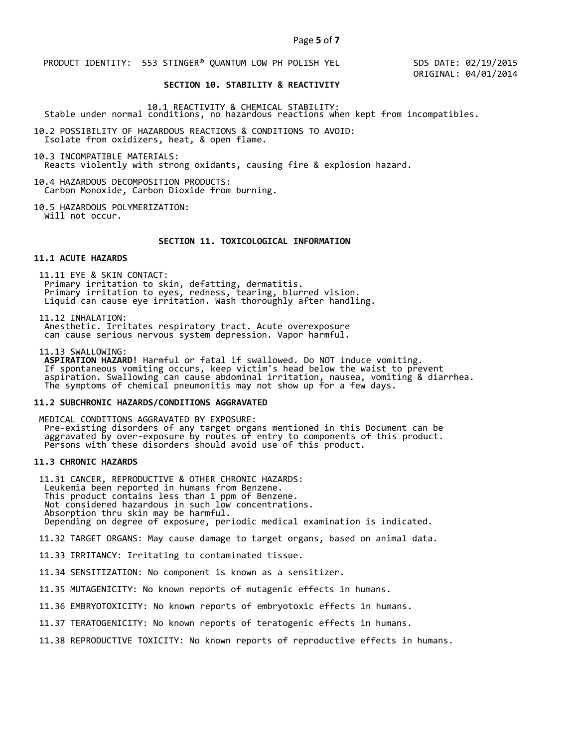PRODUCT IDENTITY: 553 STINGER® QUANTUM LOW PH POLISH YEL

 SDS DATE: 02/19/2015 ORIGINAL: 04/01/2014

# **SECTION 10. STABILITY & REACTIVITY**

10.1 REACTIVITY & CHEMICAL STABILITY: Stable under normal conditions, no hazardous reactions when kept from incompatibles.

10.2 POSSIBILITY OF HAZARDOUS REACTIONS & CONDITIONS TO AVOID: Isolate from oxidizers, heat, & open flame.

10.3 INCOMPATIBLE MATERIALS: Reacts violently with strong oxidants, causing fire & explosion hazard.

10.4 HAZARDOUS DECOMPOSITION PRODUCTS: Carbon Monoxide, Carbon Dioxide from burning.

10.5 HAZARDOUS POLYMERIZATION: Will not occur.

# **SECTION 11. TOXICOLOGICAL INFORMATION**

#### **11.1 ACUTE HAZARDS**

 11.11 EYE & SKIN CONTACT: Primary irritation to skin, defatting, dermatitis. Primary irritation to eyes, redness, tearing, blurred vision. Liquid can cause eye irritation. Wash thoroughly after handling.

11.12 INHALATION:

 Anesthetic. Irritates respiratory tract. Acute overexposure can cause serious nervous system depression. Vapor harmful.

11.13 SWALLOWING:

 **ASPIRATION HAZARD!** Harmful or fatal if swallowed. Do NOT induce vomiting. If spontaneous vomiting occurs, keep victim's head below the waist to prevent aspiration. Swallowing can cause abdominal irritation, nausea, vomiting & diarrhea. The symptoms of chemical pneumonitis may not show up for a few days.

#### **11.2 SUBCHRONIC HAZARDS/CONDITIONS AGGRAVATED**

 MEDICAL CONDITIONS AGGRAVATED BY EXPOSURE: Pre-existing disorders of any target organs mentioned in this Document can be aggravated by over-exposure by routes of entry to components of this product. Persons with these disorders should avoid use of this product.

# **11.3 CHRONIC HAZARDS**

 11.31 CANCER, REPRODUCTIVE & OTHER CHRONIC HAZARDS: Leukemia been reported in humans from Benzene. This product contains less than 1 ppm of Benzene. Not considered hazardous in such low concentrations. Absorption thru skin may be harmful. Depending on degree of exposure, periodic medical examination is indicated.

11.32 TARGET ORGANS: May cause damage to target organs, based on animal data.

11.33 IRRITANCY: Irritating to contaminated tissue.

11.34 SENSITIZATION: No component is known as a sensitizer.

11.35 MUTAGENICITY: No known reports of mutagenic effects in humans.

11.36 EMBRYOTOXICITY: No known reports of embryotoxic effects in humans.

11.37 TERATOGENICITY: No known reports of teratogenic effects in humans.

11.38 REPRODUCTIVE TOXICITY: No known reports of reproductive effects in humans.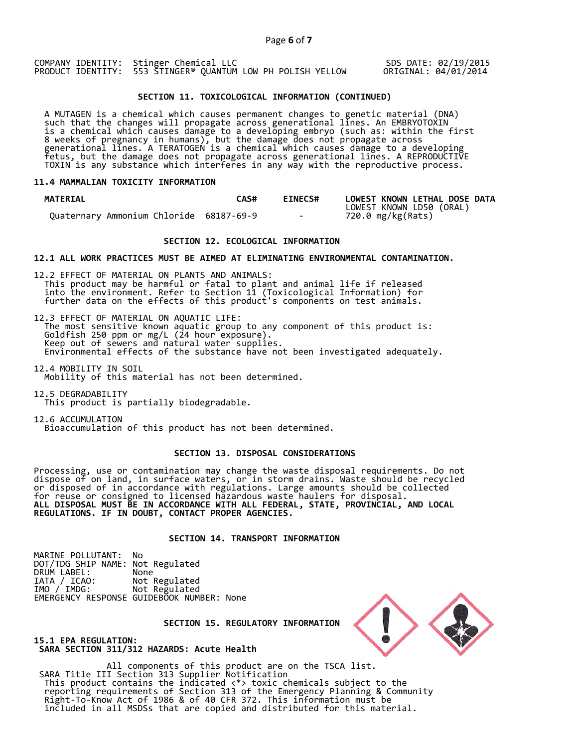COMPANY IDENTITY: Stinger Chemical LLC PRODUCT IDENTITY: 553 STINGER® QUANTUM LOW PH POLISH YELLOW SDS DATE: 02/19/2015 ORIGINAL: 04/01/2014

# **SECTION 11. TOXICOLOGICAL INFORMATION (CONTINUED)**

 A MUTAGEN is a chemical which causes permanent changes to genetic material (DNA) such that the changes will propagate across generational lines. An EMBRYOTOXIN is a chemical which causes damage to a developing embryo (such as: within the first 8 weeks of pregnancy in humans), but the damage does not propagate across generational lines. A TERATOGEN is a chemical which causes damage to a developing fetus, but the damage does not propagate across generational lines. A REPRODUCTIVE TOXIN is any substance which interferes in any way with the reproductive process.

#### **11.4 MAMMALIAN TOXICITY INFORMATION**

| <b>MATERIAL</b>                         | CAS# | <b>EINECS#</b> | LOWEST KNOWN LETHAL DOSE DATA |
|-----------------------------------------|------|----------------|-------------------------------|
|                                         |      |                | LOWEST KNOWN LD50 (ORAL)      |
| Ouaternary Ammonium Chloride 68187-69-9 |      | $\sim$ $\sim$  | 720.0 mg/kg(Rats)             |

### **SECTION 12. ECOLOGICAL INFORMATION**

**12.1 ALL WORK PRACTICES MUST BE AIMED AT ELIMINATING ENVIRONMENTAL CONTAMINATION.** 

12.2 EFFECT OF MATERIAL ON PLANTS AND ANIMALS: This product may be harmful or fatal to plant and animal life if released into the environment. Refer to Section 11 (Toxicological Information) for further data on the effects of this product's components on test animals.

12.3 EFFECT OF MATERIAL ON AQUATIC LIFE: The most sensitive known aquatic group to any component of this product is: Goldfish 250 ppm or mg/L (24 hour exposure). Keep out of sewers and natural water supplies. Environmental effects of the substance have not been investigated adequately.

12.4 MOBILITY IN SOIL Mobility of this material has not been determined.

12.5 DEGRADABILITY This product is partially biodegradable.

12.6 ACCUMULATION Bioaccumulation of this product has not been determined.

#### **SECTION 13. DISPOSAL CONSIDERATIONS**

Processing, use or contamination may change the waste disposal requirements. Do not dispose of on land, in surface waters, or in storm drains. Waste should be recycled or disposed of in accordance with regulations. Large amounts should be collected for reuse or consigned to licensed hazardous waste haulers for disposal. **ALL DISPOSAL MUST BE IN ACCORDANCE WITH ALL FEDERAL, STATE, PROVINCIAL, AND LOCAL REGULATIONS. IF IN DOUBT, CONTACT PROPER AGENCIES.** 

# **SECTION 14. TRANSPORT INFORMATION**

MARINE POLLUTANT: No DOT/TDG SHIP NAME: Not Regulated DRUM LABEL:<br>IATA / ICAO: IATA / ICAO: Not Regulated<br>IMO / IMDG: Not Regulated Not Regulated EMERGENCY RESPONSE GUIDEBOOK NUMBER: None

 **SECTION 15. REGULATORY INFORMATION** 



**15.1 EPA REGULATION: SARA SECTION 311/312 HAZARDS: Acute Health** 

All components of this product are on the TSCA list. SARA Title III Section 313 Supplier Notification This product contains the indicated <\*> toxic chemicals subject to the reporting requirements of Section 313 of the Emergency Planning & Community Right-To-Know Act of 1986 & of 40 CFR 372. This information must be included in all MSDSs that are copied and distributed for this material.